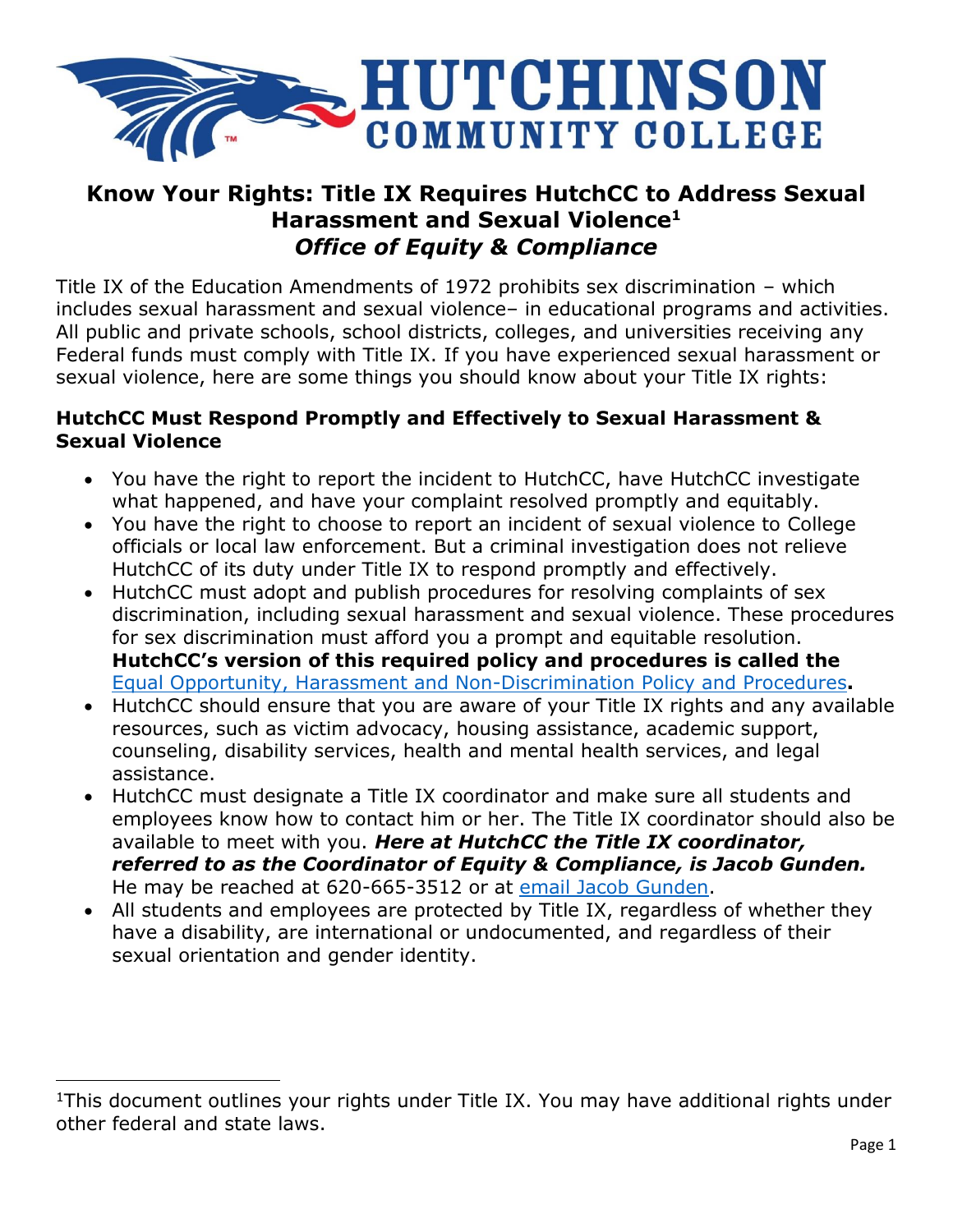

# **Know Your Rights: Title IX Requires HutchCC to Address Sexual Harassment and Sexual Violence<sup>1</sup>** *Office of Equity & Compliance*

Title IX of the Education Amendments of 1972 prohibits sex discrimination – which includes sexual harassment and sexual violence– in educational programs and activities. All public and private schools, school districts, colleges, and universities receiving any Federal funds must comply with Title IX. If you have experienced sexual harassment or sexual violence, here are some things you should know about your Title IX rights:

#### **HutchCC Must Respond Promptly and Effectively to Sexual Harassment & Sexual Violence**

- You have the right to report the incident to HutchCC, have HutchCC investigate what happened, and have your complaint resolved promptly and equitably.
- You have the right to choose to report an incident of sexual violence to College officials or local law enforcement. But a criminal investigation does not relieve HutchCC of its duty under Title IX to respond promptly and effectively.
- HutchCC must adopt and publish procedures for resolving complaints of sex discrimination, including sexual harassment and sexual violence. These procedures for sex discrimination must afford you a prompt and equitable resolution. **HutchCC's version of this required policy and procedures is called the**  [Equal Opportunity, Harassment and Non-Discrimination Policy and Procedures](https://dz.hutchcc.edu/api/doc.inc.php?refnum=1089)**.**
- HutchCC should ensure that you are aware of your Title IX rights and any available resources, such as victim advocacy, housing assistance, academic support, counseling, disability services, health and mental health services, and legal assistance.
- HutchCC must designate a Title IX coordinator and make sure all students and employees know how to contact him or her. The Title IX coordinator should also be available to meet with you. *Here at HutchCC the Title IX coordinator, referred to as the Coordinator of Equity & Compliance, is Jacob Gunden.* He may be reached at 620-665-3512 or at [email Jacob Gunden.](mailto:gundenj@hutchcc.edu)
- All students and employees are protected by Title IX, regardless of whether they have a disability, are international or undocumented, and regardless of their sexual orientation and gender identity.

 $\overline{\phantom{a}}$ 

<sup>&</sup>lt;sup>1</sup>This document outlines your rights under Title IX. You may have additional rights under other federal and state laws.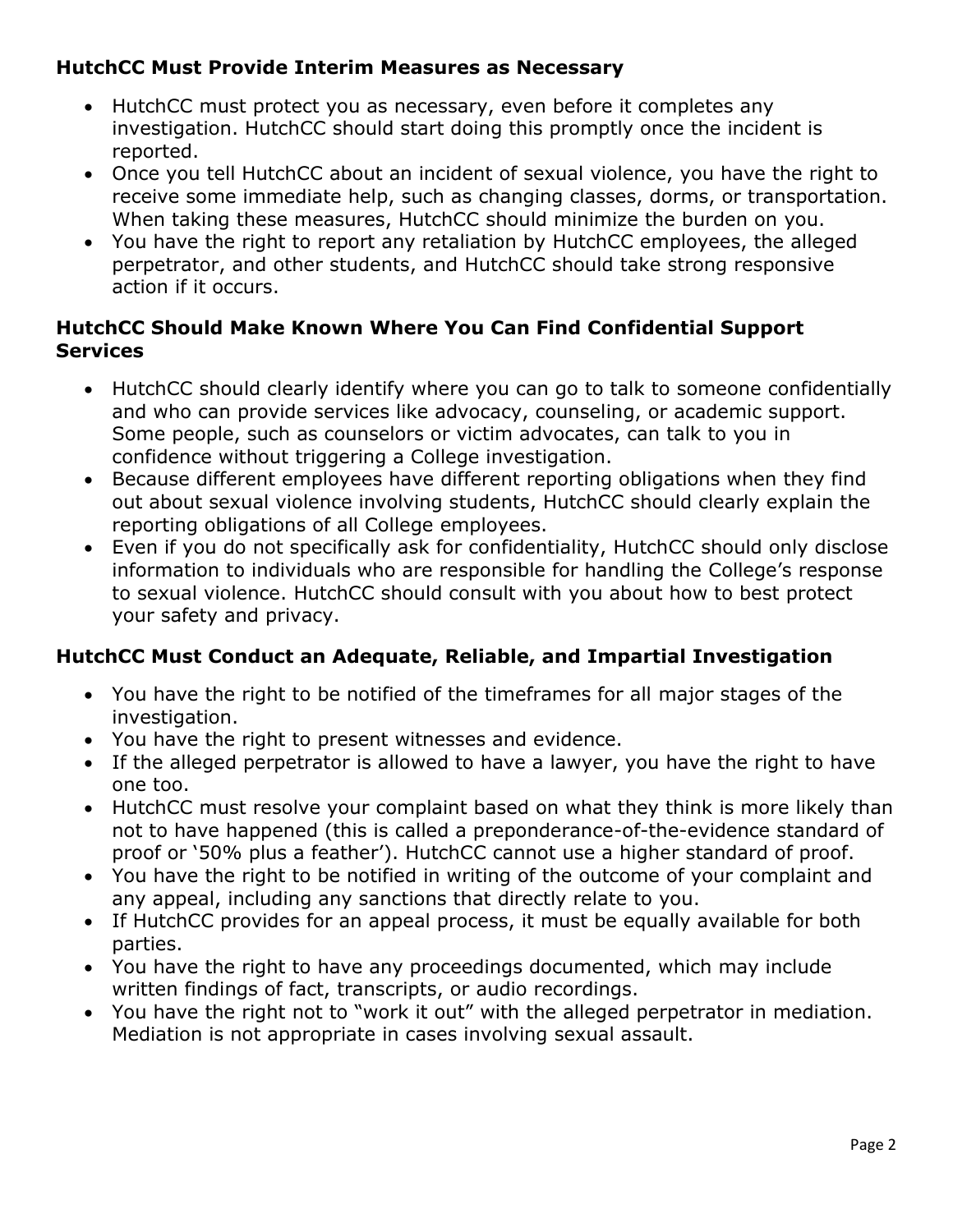# **HutchCC Must Provide Interim Measures as Necessary**

- HutchCC must protect you as necessary, even before it completes any investigation. HutchCC should start doing this promptly once the incident is reported.
- Once you tell HutchCC about an incident of sexual violence, you have the right to receive some immediate help, such as changing classes, dorms, or transportation. When taking these measures, HutchCC should minimize the burden on you.
- You have the right to report any retaliation by HutchCC employees, the alleged perpetrator, and other students, and HutchCC should take strong responsive action if it occurs.

#### **HutchCC Should Make Known Where You Can Find Confidential Support Services**

- HutchCC should clearly identify where you can go to talk to someone confidentially and who can provide services like advocacy, counseling, or academic support. Some people, such as counselors or victim advocates, can talk to you in confidence without triggering a College investigation.
- Because different employees have different reporting obligations when they find out about sexual violence involving students, HutchCC should clearly explain the reporting obligations of all College employees.
- Even if you do not specifically ask for confidentiality, HutchCC should only disclose information to individuals who are responsible for handling the College's response to sexual violence. HutchCC should consult with you about how to best protect your safety and privacy.

# **HutchCC Must Conduct an Adequate, Reliable, and Impartial Investigation**

- You have the right to be notified of the timeframes for all major stages of the investigation.
- You have the right to present witnesses and evidence.
- If the alleged perpetrator is allowed to have a lawyer, you have the right to have one too.
- HutchCC must resolve your complaint based on what they think is more likely than not to have happened (this is called a preponderance-of-the-evidence standard of proof or '50% plus a feather'). HutchCC cannot use a higher standard of proof.
- You have the right to be notified in writing of the outcome of your complaint and any appeal, including any sanctions that directly relate to you.
- If HutchCC provides for an appeal process, it must be equally available for both parties.
- You have the right to have any proceedings documented, which may include written findings of fact, transcripts, or audio recordings.
- You have the right not to "work it out" with the alleged perpetrator in mediation. Mediation is not appropriate in cases involving sexual assault.